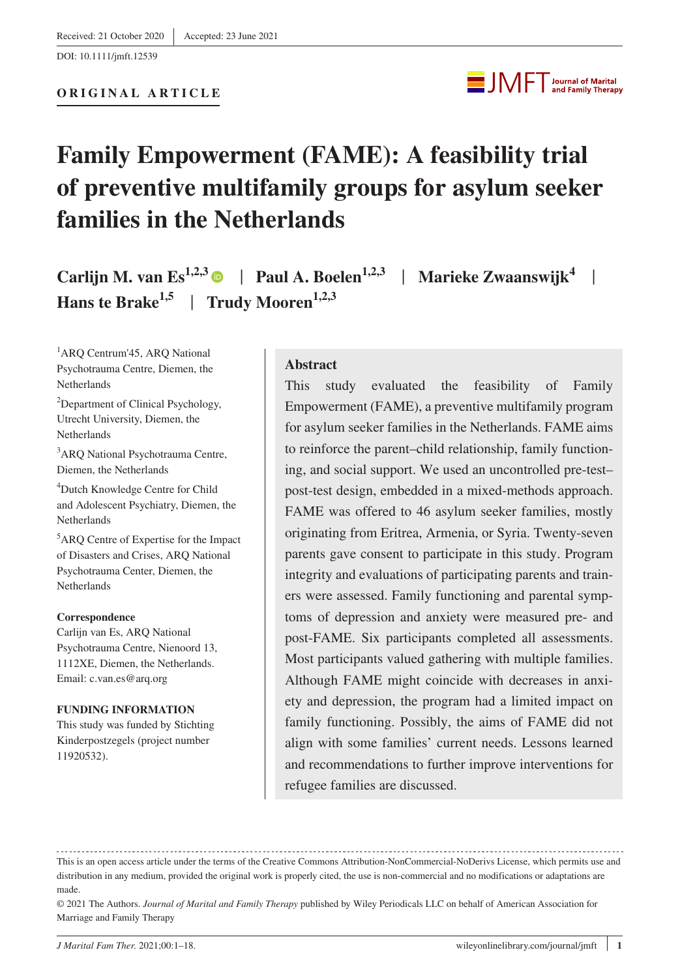DOI: 10.1111/jmft.12539



# **Family Empowerment (FAME): A feasibility trial of preventive multifamily groups for asylum seeker families in the Netherlands**

**Carlijn M. van Es<sup>1,2,3</sup> | Paul A. Boelen<sup>1,2,3</sup> | Marieke Zwaanswijk<sup>4</sup> | Hans te Brake**<sup>1,5</sup> | **Trudy Mooren**<sup>1,2,3</sup>

<sup>1</sup>ARQ Centrum'45, ARQ National Psychotrauma Centre, Diemen, the Netherlands

<sup>2</sup>Department of Clinical Psychology, Utrecht University, Diemen, the **Netherlands** 

<sup>3</sup>ARQ National Psychotrauma Centre, Diemen, the Netherlands

4 Dutch Knowledge Centre for Child and Adolescent Psychiatry, Diemen, the **Netherlands** 

5 ARQ Centre of Expertise for the Impact of Disasters and Crises, ARQ National Psychotrauma Center, Diemen, the **Netherlands** 

#### **Correspondence**

Carlijn van Es, ARQ National Psychotrauma Centre, Nienoord 13, 1112XE, Diemen, the Netherlands. Email: [c.van.es@arq.org](mailto:c.van.es@arq.org)

#### **FUNDING INFORMATION**

This study was funded by Stichting Kinderpostzegels (project number 11920532).

#### **Abstract**

This study evaluated the feasibility of Family Empowerment (FAME), a preventive multifamily program for asylum seeker families in the Netherlands. FAME aims to reinforce the parent–child relationship, family functioning, and social support. We used an uncontrolled pre-test– post-test design, embedded in a mixed-methods approach. FAME was offered to 46 asylum seeker families, mostly originating from Eritrea, Armenia, or Syria. Twenty-seven parents gave consent to participate in this study. Program integrity and evaluations of participating parents and trainers were assessed. Family functioning and parental symptoms of depression and anxiety were measured pre- and post-FAME. Six participants completed all assessments. Most participants valued gathering with multiple families. Although FAME might coincide with decreases in anxiety and depression, the program had a limited impact on family functioning. Possibly, the aims of FAME did not align with some families' current needs. Lessons learned and recommendations to further improve interventions for refugee families are discussed.

This is an open access article under the terms of the [Creative Commons Attribution-NonCommercial-NoDerivs](http://creativecommons.org/licenses/by-nc-nd/4.0/) License, which permits use and distribution in any medium, provided the original work is properly cited, the use is non-commercial and no modifications or adaptations are made.

<sup>© 2021</sup> The Authors. *Journal of Marital and Family Therapy* published by Wiley Periodicals LLC on behalf of American Association for Marriage and Family Therapy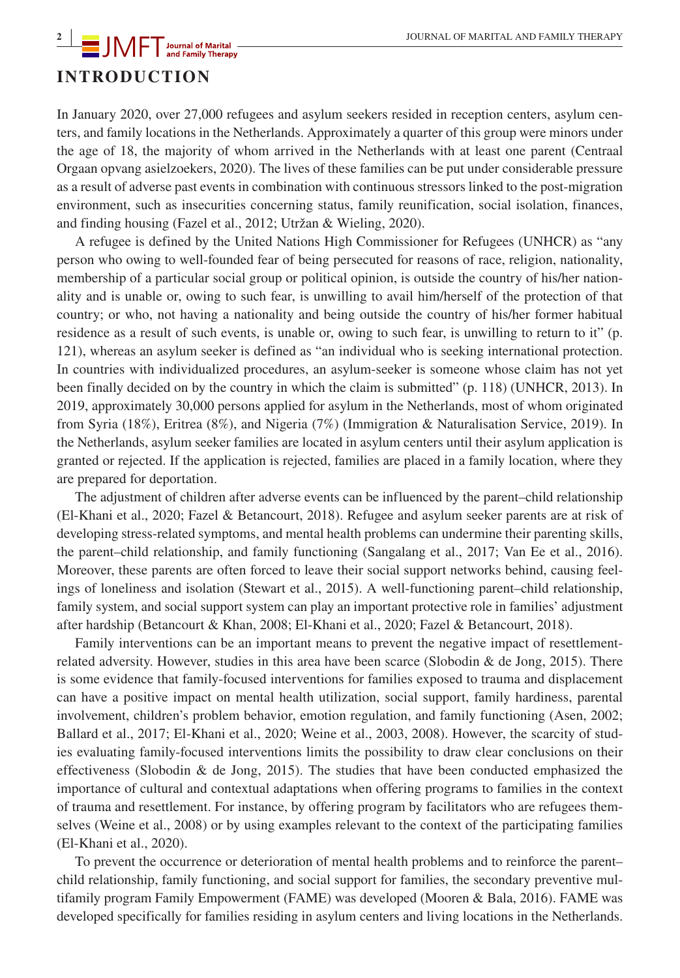## **<sup>2</sup> |** JOURNAL OF MARITAL AND FAMILY THERAPY **INTRODUCTION**

In January 2020, over 27,000 refugees and asylum seekers resided in reception centers, asylum centers, and family locations in the Netherlands. Approximately a quarter of this group were minors under the age of 18, the majority of whom arrived in the Netherlands with at least one parent (Centraal Orgaan opvang asielzoekers, 2020). The lives of these families can be put under considerable pressure as a result of adverse past events in combination with continuous stressors linked to the post-migration environment, such as insecurities concerning status, family reunification, social isolation, finances, and finding housing (Fazel et al., 2012; Utržan & Wieling, 2020).

A refugee is defined by the United Nations High Commissioner for Refugees (UNHCR) as "any person who owing to well-founded fear of being persecuted for reasons of race, religion, nationality, membership of a particular social group or political opinion, is outside the country of his/her nationality and is unable or, owing to such fear, is unwilling to avail him/herself of the protection of that country; or who, not having a nationality and being outside the country of his/her former habitual residence as a result of such events, is unable or, owing to such fear, is unwilling to return to it" (p. 121), whereas an asylum seeker is defined as "an individual who is seeking international protection. In countries with individualized procedures, an asylum-seeker is someone whose claim has not yet been finally decided on by the country in which the claim is submitted" (p. 118) (UNHCR, 2013). In 2019, approximately 30,000 persons applied for asylum in the Netherlands, most of whom originated from Syria (18%), Eritrea (8%), and Nigeria (7%) (Immigration & Naturalisation Service, 2019). In the Netherlands, asylum seeker families are located in asylum centers until their asylum application is granted or rejected. If the application is rejected, families are placed in a family location, where they are prepared for deportation.

The adjustment of children after adverse events can be influenced by the parent–child relationship (El-Khani et al., 2020; Fazel & Betancourt, 2018). Refugee and asylum seeker parents are at risk of developing stress-related symptoms, and mental health problems can undermine their parenting skills, the parent–child relationship, and family functioning (Sangalang et al., 2017; Van Ee et al., 2016). Moreover, these parents are often forced to leave their social support networks behind, causing feelings of loneliness and isolation (Stewart et al., 2015). A well-functioning parent–child relationship, family system, and social support system can play an important protective role in families' adjustment after hardship (Betancourt & Khan, 2008; El-Khani et al., 2020; Fazel & Betancourt, 2018).

Family interventions can be an important means to prevent the negative impact of resettlementrelated adversity. However, studies in this area have been scarce (Slobodin & de Jong, 2015). There is some evidence that family-focused interventions for families exposed to trauma and displacement can have a positive impact on mental health utilization, social support, family hardiness, parental involvement, children's problem behavior, emotion regulation, and family functioning (Asen, 2002; Ballard et al., 2017; El-Khani et al., 2020; Weine et al., 2003, 2008). However, the scarcity of studies evaluating family-focused interventions limits the possibility to draw clear conclusions on their effectiveness (Slobodin  $\&$  de Jong, 2015). The studies that have been conducted emphasized the importance of cultural and contextual adaptations when offering programs to families in the context of trauma and resettlement. For instance, by offering program by facilitators who are refugees themselves (Weine et al., 2008) or by using examples relevant to the context of the participating families (El-Khani et al., 2020).

To prevent the occurrence or deterioration of mental health problems and to reinforce the parent– child relationship, family functioning, and social support for families, the secondary preventive multifamily program Family Empowerment (FAME) was developed (Mooren & Bala, 2016). FAME was developed specifically for families residing in asylum centers and living locations in the Netherlands.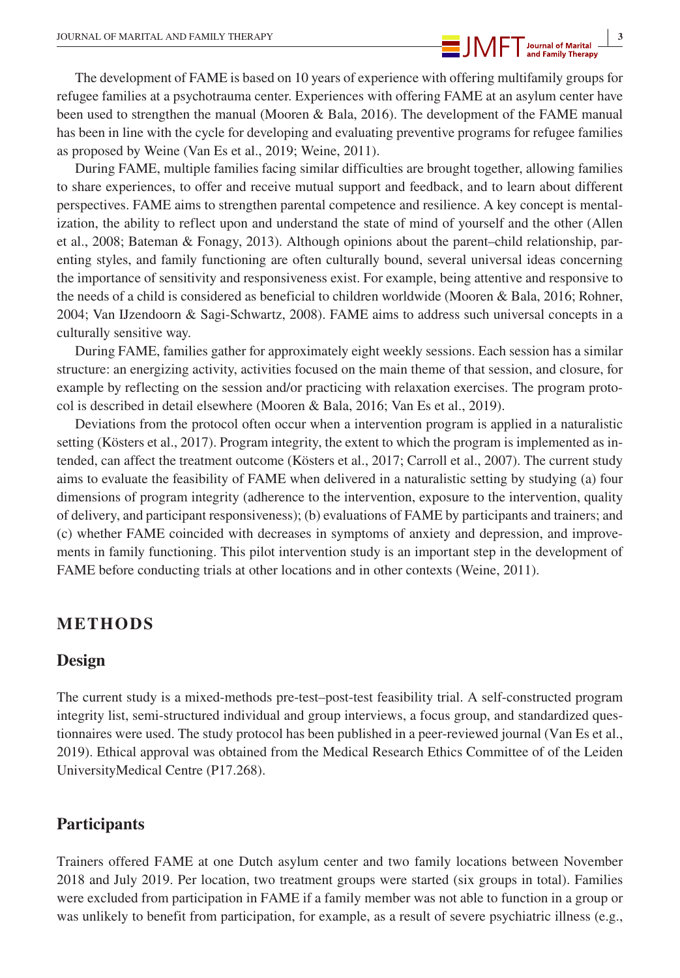

The development of FAME is based on 10 years of experience with offering multifamily groups for refugee families at a psychotrauma center. Experiences with offering FAME at an asylum center have been used to strengthen the manual (Mooren & Bala, 2016). The development of the FAME manual has been in line with the cycle for developing and evaluating preventive programs for refugee families as proposed by Weine (Van Es et al., 2019; Weine, 2011).

During FAME, multiple families facing similar difficulties are brought together, allowing families to share experiences, to offer and receive mutual support and feedback, and to learn about different perspectives. FAME aims to strengthen parental competence and resilience. A key concept is mentalization, the ability to reflect upon and understand the state of mind of yourself and the other (Allen et al., 2008; Bateman & Fonagy, 2013). Although opinions about the parent–child relationship, parenting styles, and family functioning are often culturally bound, several universal ideas concerning the importance of sensitivity and responsiveness exist. For example, being attentive and responsive to the needs of a child is considered as beneficial to children worldwide (Mooren & Bala, 2016; Rohner, 2004; Van IJzendoorn & Sagi-Schwartz, 2008). FAME aims to address such universal concepts in a culturally sensitive way.

During FAME, families gather for approximately eight weekly sessions. Each session has a similar structure: an energizing activity, activities focused on the main theme of that session, and closure, for example by reflecting on the session and/or practicing with relaxation exercises. The program protocol is described in detail elsewhere (Mooren & Bala, 2016; Van Es et al., 2019).

Deviations from the protocol often occur when a intervention program is applied in a naturalistic setting (Kösters et al., 2017). Program integrity, the extent to which the program is implemented as intended, can affect the treatment outcome (Kösters et al., 2017; Carroll et al., 2007). The current study aims to evaluate the feasibility of FAME when delivered in a naturalistic setting by studying (a) four dimensions of program integrity (adherence to the intervention, exposure to the intervention, quality of delivery, and participant responsiveness); (b) evaluations of FAME by participants and trainers; and (c) whether FAME coincided with decreases in symptoms of anxiety and depression, and improvements in family functioning. This pilot intervention study is an important step in the development of FAME before conducting trials at other locations and in other contexts (Weine, 2011).

## **METHODS**

## **Design**

The current study is a mixed-methods pre-test–post-test feasibility trial. A self-constructed program integrity list, semi-structured individual and group interviews, a focus group, and standardized questionnaires were used. The study protocol has been published in a peer-reviewed journal (Van Es et al., 2019). Ethical approval was obtained from the Medical Research Ethics Committee of of the Leiden UniversityMedical Centre (P17.268).

## **Participants**

Trainers offered FAME at one Dutch asylum center and two family locations between November 2018 and July 2019. Per location, two treatment groups were started (six groups in total). Families were excluded from participation in FAME if a family member was not able to function in a group or was unlikely to benefit from participation, for example, as a result of severe psychiatric illness (e.g.,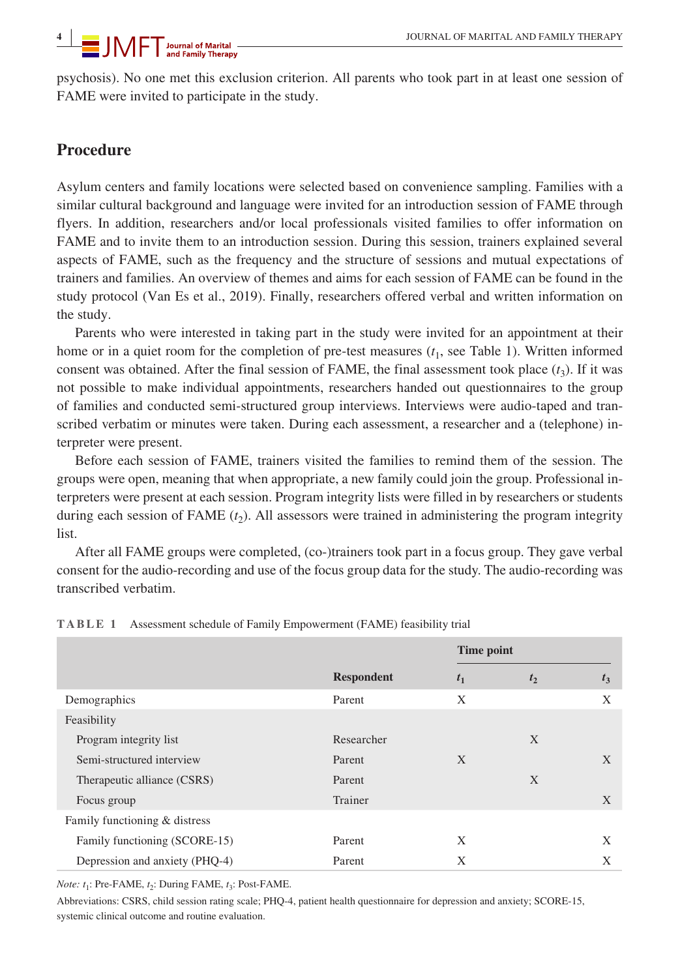psychosis). No one met this exclusion criterion. All parents who took part in at least one session of FAME were invited to participate in the study.

## **Procedure**

Asylum centers and family locations were selected based on convenience sampling. Families with a similar cultural background and language were invited for an introduction session of FAME through flyers. In addition, researchers and/or local professionals visited families to offer information on FAME and to invite them to an introduction session. During this session, trainers explained several aspects of FAME, such as the frequency and the structure of sessions and mutual expectations of trainers and families. An overview of themes and aims for each session of FAME can be found in the study protocol (Van Es et al., 2019). Finally, researchers offered verbal and written information on the study.

Parents who were interested in taking part in the study were invited for an appointment at their home or in a quiet room for the completion of pre-test measures  $(t_1, \text{ see Table 1})$ . Written informed consent was obtained. After the final session of FAME, the final assessment took place  $(t_3)$ . If it was not possible to make individual appointments, researchers handed out questionnaires to the group of families and conducted semi-structured group interviews. Interviews were audio-taped and transcribed verbatim or minutes were taken. During each assessment, a researcher and a (telephone) interpreter were present.

Before each session of FAME, trainers visited the families to remind them of the session. The groups were open, meaning that when appropriate, a new family could join the group. Professional interpreters were present at each session. Program integrity lists were filled in by researchers or students during each session of FAME  $(t_2)$ . All assessors were trained in administering the program integrity list.

After all FAME groups were completed, (co-)trainers took part in a focus group. They gave verbal consent for the audio-recording and use of the focus group data for the study. The audio-recording was transcribed verbatim.

|                                |                   | Time point     |       |       |  |
|--------------------------------|-------------------|----------------|-------|-------|--|
|                                | <b>Respondent</b> | t <sub>1</sub> | $t_2$ | $t_3$ |  |
| Demographics                   | Parent            | X              |       | X     |  |
| Feasibility                    |                   |                |       |       |  |
| Program integrity list         | Researcher        |                | X     |       |  |
| Semi-structured interview      | Parent            | X              |       | X     |  |
| Therapeutic alliance (CSRS)    | Parent            |                | X     |       |  |
| Focus group                    | Trainer           |                |       | X     |  |
| Family functioning & distress  |                   |                |       |       |  |
| Family functioning (SCORE-15)  | Parent            | X              |       | X     |  |
| Depression and anxiety (PHQ-4) | Parent            | X              |       | X     |  |

**TABLE 1** Assessment schedule of Family Empowerment (FAME) feasibility trial

*Note: t*<sub>1</sub>: Pre-FAME, *t*<sub>2</sub>: During FAME, *t*<sub>3</sub>: Post-FAME.

Abbreviations: CSRS, child session rating scale; PHQ-4, patient health questionnaire for depression and anxiety; SCORE-15, systemic clinical outcome and routine evaluation.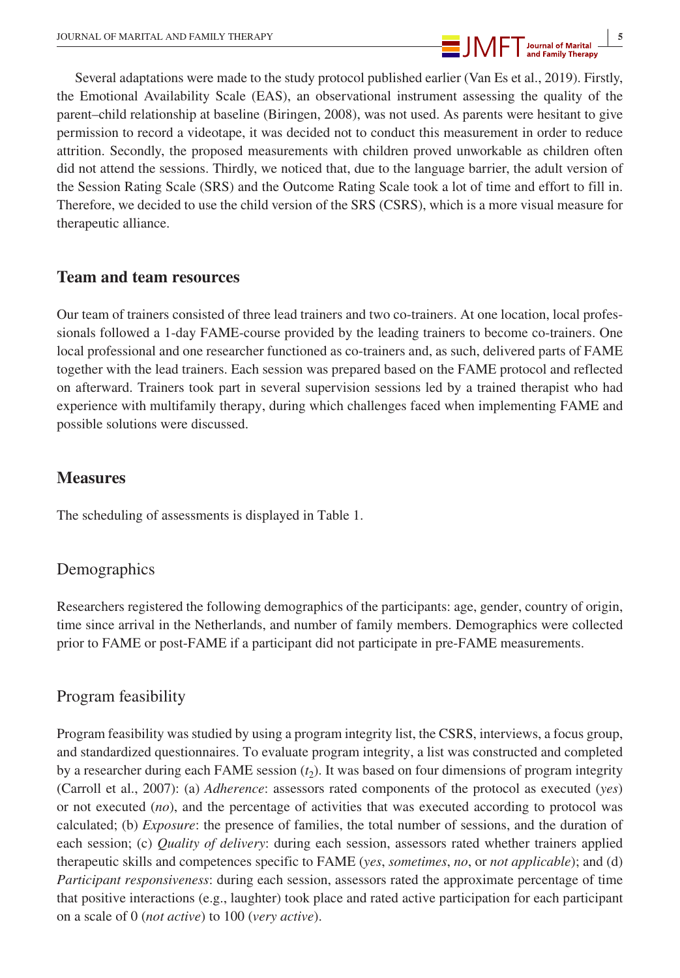

Several adaptations were made to the study protocol published earlier (Van Es et al., 2019). Firstly, the Emotional Availability Scale (EAS), an observational instrument assessing the quality of the parent–child relationship at baseline (Biringen, 2008), was not used. As parents were hesitant to give permission to record a videotape, it was decided not to conduct this measurement in order to reduce attrition. Secondly, the proposed measurements with children proved unworkable as children often did not attend the sessions. Thirdly, we noticed that, due to the language barrier, the adult version of the Session Rating Scale (SRS) and the Outcome Rating Scale took a lot of time and effort to fill in. Therefore, we decided to use the child version of the SRS (CSRS), which is a more visual measure for therapeutic alliance.

## **Team and team resources**

Our team of trainers consisted of three lead trainers and two co-trainers. At one location, local professionals followed a 1-day FAME-course provided by the leading trainers to become co-trainers. One local professional and one researcher functioned as co-trainers and, as such, delivered parts of FAME together with the lead trainers. Each session was prepared based on the FAME protocol and reflected on afterward. Trainers took part in several supervision sessions led by a trained therapist who had experience with multifamily therapy, during which challenges faced when implementing FAME and possible solutions were discussed.

## **Measures**

The scheduling of assessments is displayed in Table 1.

## Demographics

Researchers registered the following demographics of the participants: age, gender, country of origin, time since arrival in the Netherlands, and number of family members. Demographics were collected prior to FAME or post-FAME if a participant did not participate in pre-FAME measurements.

## Program feasibility

Program feasibility was studied by using a program integrity list, the CSRS, interviews, a focus group, and standardized questionnaires. To evaluate program integrity, a list was constructed and completed by a researcher during each FAME session  $(t_2)$ . It was based on four dimensions of program integrity (Carroll et al., 2007): (a) *Adherence*: assessors rated components of the protocol as executed (*yes*) or not executed (*no*), and the percentage of activities that was executed according to protocol was calculated; (b) *Exposure*: the presence of families, the total number of sessions, and the duration of each session; (c) *Quality of delivery*: during each session, assessors rated whether trainers applied therapeutic skills and competences specific to FAME (*yes*, *sometimes*, *no*, or *not applicable*); and (d) *Participant responsiveness*: during each session, assessors rated the approximate percentage of time that positive interactions (e.g., laughter) took place and rated active participation for each participant on a scale of 0 (*not active*) to 100 (*very active*).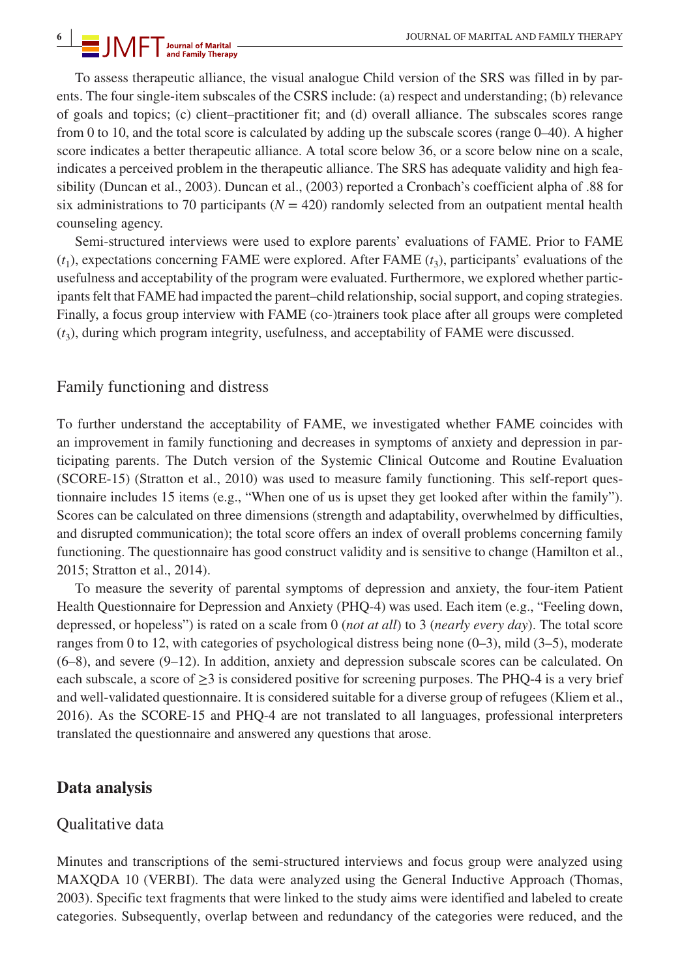# **19 IN REPLACE SERVING MARITAL AND FAMILY THERAPY**<br> **19 IN REPLACE AND FAMILY THERAPY**<br> **19 IN REPLACE AND FAMILY THERAPY**

To assess therapeutic alliance, the visual analogue Child version of the SRS was filled in by parents. The four single-item subscales of the CSRS include: (a) respect and understanding; (b) relevance of goals and topics; (c) client–practitioner fit; and (d) overall alliance. The subscales scores range from 0 to 10, and the total score is calculated by adding up the subscale scores (range 0–40). A higher score indicates a better therapeutic alliance. A total score below 36, or a score below nine on a scale, indicates a perceived problem in the therapeutic alliance. The SRS has adequate validity and high feasibility (Duncan et al., 2003). Duncan et al., (2003) reported a Cronbach's coefficient alpha of .88 for six administrations to 70 participants ( $N = 420$ ) randomly selected from an outpatient mental health counseling agency.

Semi-structured interviews were used to explore parents' evaluations of FAME. Prior to FAME  $(t_1)$ , expectations concerning FAME were explored. After FAME  $(t_3)$ , participants' evaluations of the usefulness and acceptability of the program were evaluated. Furthermore, we explored whether participants felt that FAME had impacted the parent–child relationship, social support, and coping strategies. Finally, a focus group interview with FAME (co-)trainers took place after all groups were completed  $(t<sub>3</sub>)$ , during which program integrity, usefulness, and acceptability of FAME were discussed.

## Family functioning and distress

To further understand the acceptability of FAME, we investigated whether FAME coincides with an improvement in family functioning and decreases in symptoms of anxiety and depression in participating parents. The Dutch version of the Systemic Clinical Outcome and Routine Evaluation (SCORE-15) (Stratton et al., 2010) was used to measure family functioning. This self-report questionnaire includes 15 items (e.g., "When one of us is upset they get looked after within the family"). Scores can be calculated on three dimensions (strength and adaptability, overwhelmed by difficulties, and disrupted communication); the total score offers an index of overall problems concerning family functioning. The questionnaire has good construct validity and is sensitive to change (Hamilton et al., 2015; Stratton et al., 2014).

To measure the severity of parental symptoms of depression and anxiety, the four-item Patient Health Questionnaire for Depression and Anxiety (PHQ-4) was used. Each item (e.g., "Feeling down, depressed, or hopeless") is rated on a scale from 0 (*not at all*) to 3 (*nearly every day*). The total score ranges from 0 to 12, with categories of psychological distress being none (0–3), mild (3–5), moderate (6–8), and severe (9–12). In addition, anxiety and depression subscale scores can be calculated. On each subscale, a score of  $\geq 3$  is considered positive for screening purposes. The PHQ-4 is a very brief and well-validated questionnaire. It is considered suitable for a diverse group of refugees (Kliem et al., 2016). As the SCORE-15 and PHQ-4 are not translated to all languages, professional interpreters translated the questionnaire and answered any questions that arose.

## **Data analysis**

## Qualitative data

Minutes and transcriptions of the semi-structured interviews and focus group were analyzed using MAXQDA 10 (VERBI). The data were analyzed using the General Inductive Approach (Thomas, 2003). Specific text fragments that were linked to the study aims were identified and labeled to create categories. Subsequently, overlap between and redundancy of the categories were reduced, and the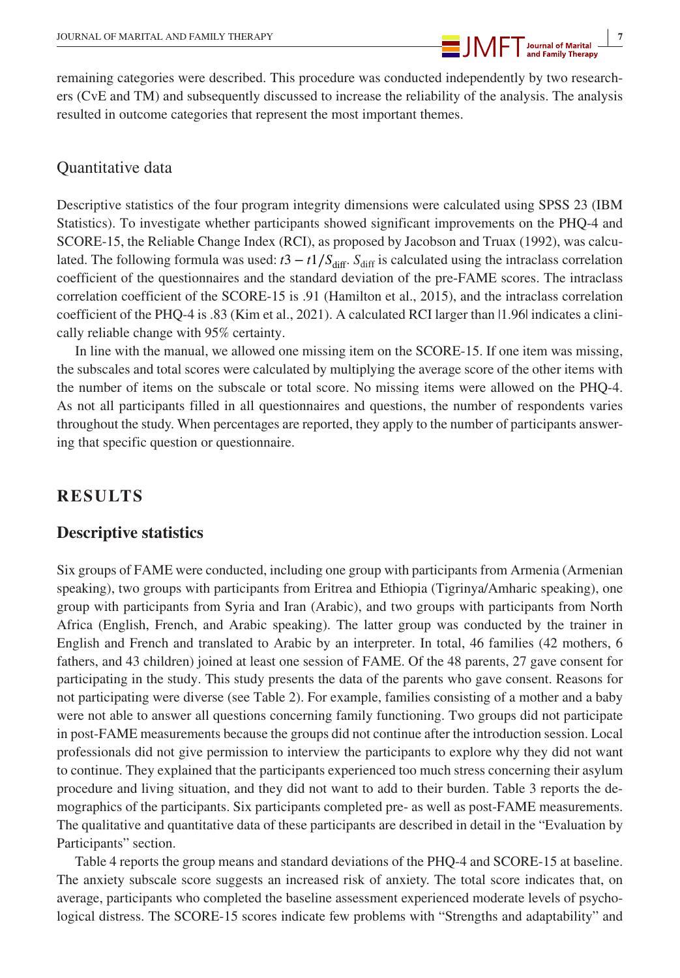**1000 BY AN ART ALLAND FAMILY THERAPY 1000 BY A 4000 BY AN ART AND THE APPENDIX CONTACT AND RELATIONS AND THERAPY** 

remaining categories were described. This procedure was conducted independently by two researchers (CvE and TM) and subsequently discussed to increase the reliability of the analysis. The analysis resulted in outcome categories that represent the most important themes.

## Quantitative data

Descriptive statistics of the four program integrity dimensions were calculated using SPSS 23 (IBM Statistics). To investigate whether participants showed significant improvements on the PHQ-4 and SCORE-15, the Reliable Change Index (RCI), as proposed by Jacobson and Truax (1992), was calculated. The following formula was used:  $t3 - t/\sqrt{S_{\text{diff}}S_{\text{diff}}}$  is calculated using the intraclass correlation coefficient of the questionnaires and the standard deviation of the pre-FAME scores. The intraclass correlation coefficient of the SCORE-15 is .91 (Hamilton et al., 2015), and the intraclass correlation coefficient of the PHQ-4 is .83 (Kim et al., 2021). A calculated RCI larger than |1.96| indicates a clinically reliable change with 95% certainty.

In line with the manual, we allowed one missing item on the SCORE-15. If one item was missing, the subscales and total scores were calculated by multiplying the average score of the other items with the number of items on the subscale or total score. No missing items were allowed on the PHQ-4. As not all participants filled in all questionnaires and questions, the number of respondents varies throughout the study. When percentages are reported, they apply to the number of participants answering that specific question or questionnaire.

## **RESULTS**

## **Descriptive statistics**

Six groups of FAME were conducted, including one group with participants from Armenia (Armenian speaking), two groups with participants from Eritrea and Ethiopia (Tigrinya/Amharic speaking), one group with participants from Syria and Iran (Arabic), and two groups with participants from North Africa (English, French, and Arabic speaking). The latter group was conducted by the trainer in English and French and translated to Arabic by an interpreter. In total, 46 families (42 mothers, 6 fathers, and 43 children) joined at least one session of FAME. Of the 48 parents, 27 gave consent for participating in the study. This study presents the data of the parents who gave consent. Reasons for not participating were diverse (see Table 2). For example, families consisting of a mother and a baby were not able to answer all questions concerning family functioning. Two groups did not participate in post-FAME measurements because the groups did not continue after the introduction session. Local professionals did not give permission to interview the participants to explore why they did not want to continue. They explained that the participants experienced too much stress concerning their asylum procedure and living situation, and they did not want to add to their burden. Table 3 reports the demographics of the participants. Six participants completed pre- as well as post-FAME measurements. The qualitative and quantitative data of these participants are described in detail in the "Evaluation by Participants" section.

Table 4 reports the group means and standard deviations of the PHQ-4 and SCORE-15 at baseline. The anxiety subscale score suggests an increased risk of anxiety. The total score indicates that, on average, participants who completed the baseline assessment experienced moderate levels of psychological distress. The SCORE-15 scores indicate few problems with "Strengths and adaptability" and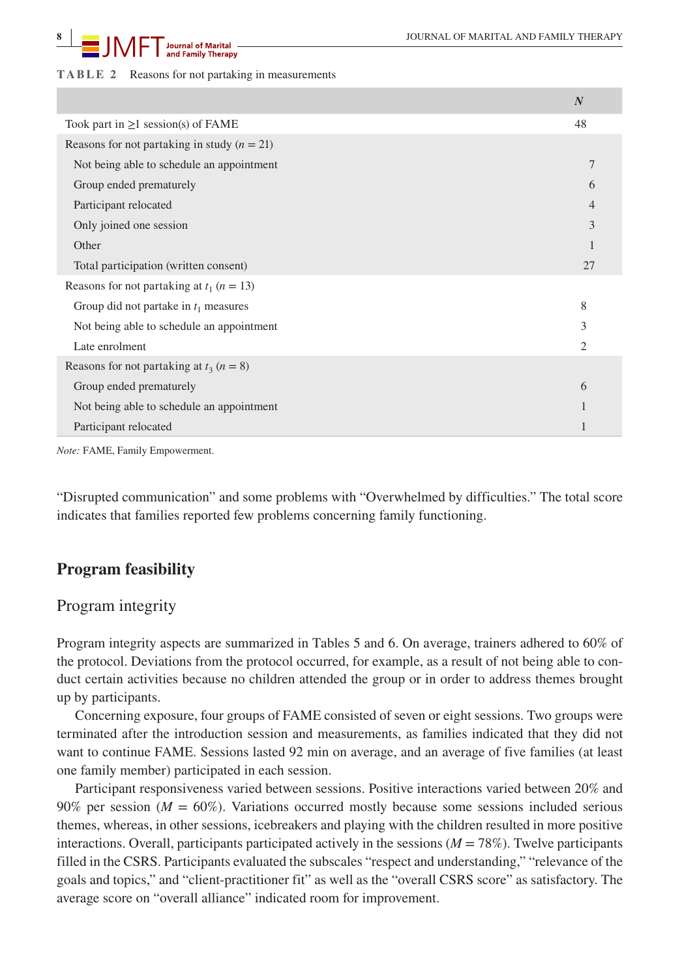## **19 COURNAL OF MARITAL AND FAMILY THERAPY**<br>**8 D AND FAMILY THERAPY**

#### **TABLE 2** Reasons for not partaking in measurements

|                                                 | $\boldsymbol{N}$ |
|-------------------------------------------------|------------------|
| Took part in $\geq 1$ session(s) of FAME        | 48               |
| Reasons for not partaking in study $(n = 21)$   |                  |
| Not being able to schedule an appointment       | 7                |
| Group ended prematurely                         | 6                |
| Participant relocated                           | 4                |
| Only joined one session                         | 3                |
| Other                                           |                  |
| Total participation (written consent)           | 27               |
| Reasons for not partaking at $t_1$ ( $n = 13$ ) |                  |
| Group did not partake in $t_1$ measures         | 8                |
| Not being able to schedule an appointment       | 3                |
| Late enrolment                                  | $\overline{2}$   |
| Reasons for not partaking at $t_3$ ( $n = 8$ )  |                  |
| Group ended prematurely                         | 6                |
| Not being able to schedule an appointment       |                  |
| Participant relocated                           |                  |

*Note:* FAME, Family Empowerment.

"Disrupted communication" and some problems with "Overwhelmed by difficulties." The total score indicates that families reported few problems concerning family functioning.

## **Program feasibility**

### Program integrity

Program integrity aspects are summarized in Tables 5 and 6. On average, trainers adhered to 60% of the protocol. Deviations from the protocol occurred, for example, as a result of not being able to conduct certain activities because no children attended the group or in order to address themes brought up by participants.

Concerning exposure, four groups of FAME consisted of seven or eight sessions. Two groups were terminated after the introduction session and measurements, as families indicated that they did not want to continue FAME. Sessions lasted 92 min on average, and an average of five families (at least one family member) participated in each session.

Participant responsiveness varied between sessions. Positive interactions varied between 20% and 90% per session ( $M = 60\%$ ). Variations occurred mostly because some sessions included serious themes, whereas, in other sessions, icebreakers and playing with the children resulted in more positive interactions. Overall, participants participated actively in the sessions  $(M = 78\%)$ . Twelve participants filled in the CSRS. Participants evaluated the subscales "respect and understanding," "relevance of the goals and topics," and "client-practitioner fit" as well as the "overall CSRS score" as satisfactory. The average score on "overall alliance" indicated room for improvement.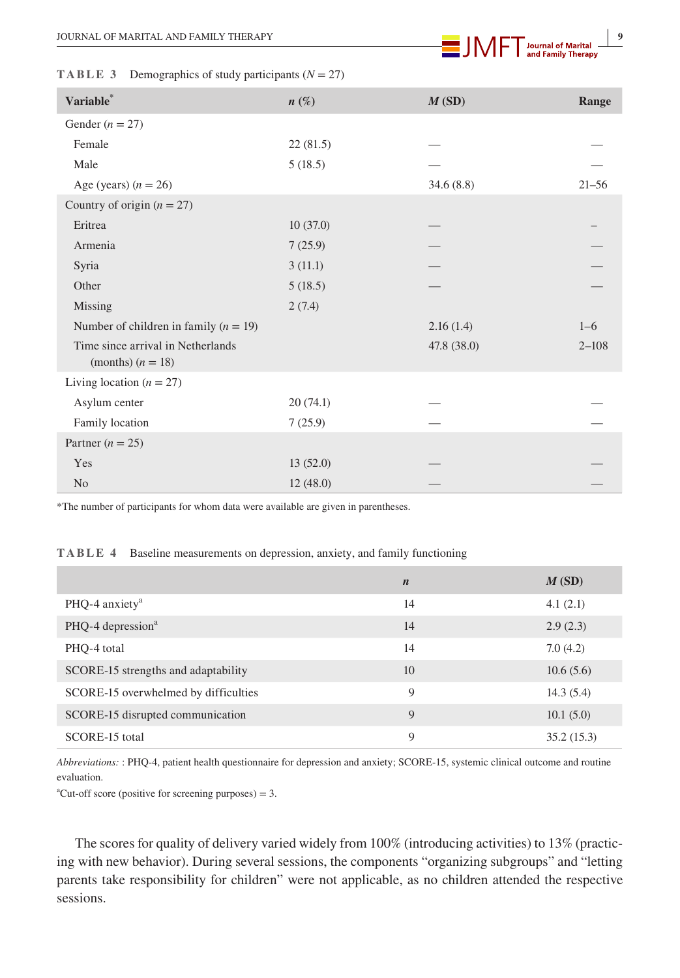

|  |  |  |  |  | <b>TABLE 3</b> Demographics of study participants ( $N = 27$ ) |  |  |  |  |  |  |
|--|--|--|--|--|----------------------------------------------------------------|--|--|--|--|--|--|
|--|--|--|--|--|----------------------------------------------------------------|--|--|--|--|--|--|

| Variable*                                                | $n\left(\%\right)$ | M(SD)       | Range     |
|----------------------------------------------------------|--------------------|-------------|-----------|
| Gender ( $n = 27$ )                                      |                    |             |           |
| Female                                                   | 22(81.5)           |             |           |
| Male                                                     | 5(18.5)            |             |           |
| Age (years) $(n = 26)$                                   |                    | 34.6(8.8)   | $21 - 56$ |
| Country of origin $(n = 27)$                             |                    |             |           |
| Eritrea                                                  | 10(37.0)           |             |           |
| Armenia                                                  | 7(25.9)            |             |           |
| Syria                                                    | 3(11.1)            |             |           |
| Other                                                    | 5(18.5)            |             |           |
| Missing                                                  | 2(7.4)             |             |           |
| Number of children in family $(n = 19)$                  |                    | 2.16(1.4)   | $1 - 6$   |
| Time since arrival in Netherlands<br>(months) $(n = 18)$ |                    | 47.8 (38.0) | $2 - 108$ |
| Living location $(n = 27)$                               |                    |             |           |
| Asylum center                                            | 20(74.1)           |             |           |
| Family location                                          | 7(25.9)            |             |           |
| Partner ( $n = 25$ )                                     |                    |             |           |
| Yes                                                      | 13(52.0)           |             |           |
| N <sub>o</sub>                                           | 12(48.0)           |             |           |

\*The number of participants for whom data were available are given in parentheses.

#### **TABLE 4** Baseline measurements on depression, anxiety, and family functioning

|                                      | $\boldsymbol{n}$ | M(SD)      |
|--------------------------------------|------------------|------------|
| PHQ-4 anxiety <sup>a</sup>           | 14               | 4.1(2.1)   |
| PHQ-4 depression <sup>a</sup>        | 14               | 2.9(2.3)   |
| PHO-4 total                          | 14               | 7.0(4.2)   |
| SCORE-15 strengths and adaptability  | 10               | 10.6(5.6)  |
| SCORE-15 overwhelmed by difficulties | 9                | 14.3(5.4)  |
| SCORE-15 disrupted communication     | 9                | 10.1(5.0)  |
| SCORE-15 total                       | 9                | 35.2(15.3) |

*Abbreviations:* : PHQ-4, patient health questionnaire for depression and anxiety; SCORE-15, systemic clinical outcome and routine evaluation.

 ${}^{\text{a}}$ Cut-off score (positive for screening purposes) = 3.

The scores for quality of delivery varied widely from 100% (introducing activities) to 13% (practicing with new behavior). During several sessions, the components "organizing subgroups" and "letting parents take responsibility for children" were not applicable, as no children attended the respective sessions.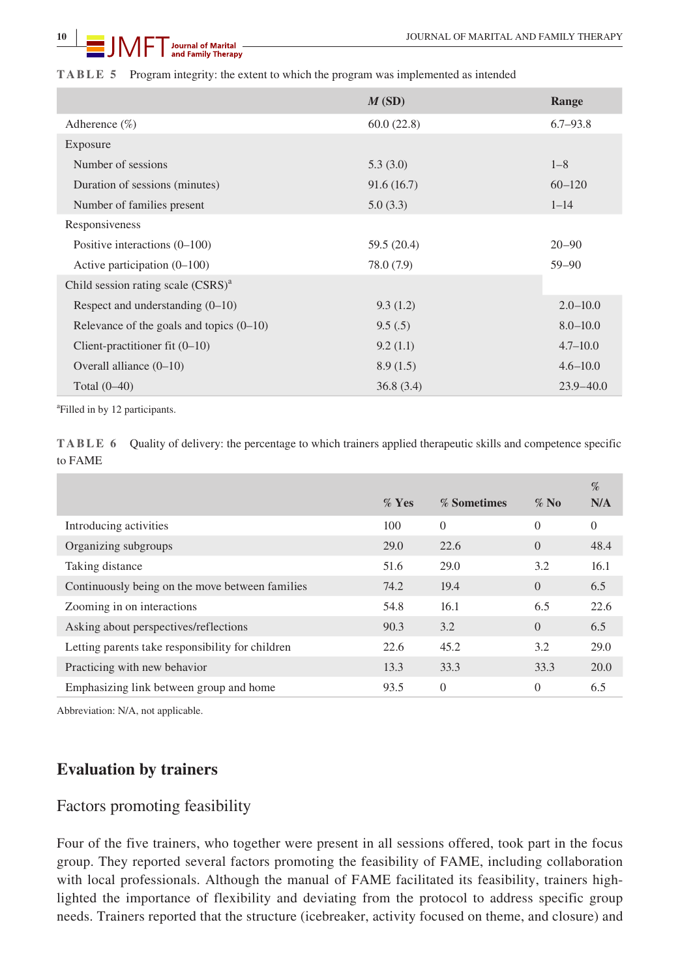#### **TABLE 5** Program integrity: the extent to which the program was implemented as intended

|                                            | M(SD)       | Range         |
|--------------------------------------------|-------------|---------------|
| Adherence $(\%)$                           | 60.0(22.8)  | $6.7 - 93.8$  |
| Exposure                                   |             |               |
| Number of sessions                         | 5.3(3.0)    | $1 - 8$       |
| Duration of sessions (minutes)             | 91.6(16.7)  | $60 - 120$    |
| Number of families present                 | 5.0(3.3)    | $1 - 14$      |
| Responsiveness                             |             |               |
| Positive interactions $(0-100)$            | 59.5 (20.4) | $20 - 90$     |
| Active participation $(0-100)$             | 78.0 (7.9)  | $59 - 90$     |
| Child session rating scale $(CSRS)^{a}$    |             |               |
| Respect and understanding $(0-10)$         | 9.3(1.2)    | $2.0 - 10.0$  |
| Relevance of the goals and topics $(0-10)$ | 9.5(.5)     | $8.0 - 10.0$  |
| Client-practitioner fit $(0-10)$           | 9.2(1.1)    | $4.7 - 10.0$  |
| Overall alliance $(0-10)$                  | 8.9(1.5)    | $4.6 - 10.0$  |
| Total $(0-40)$                             | 36.8(3.4)   | $23.9 - 40.0$ |

a Filled in by 12 participants.

**TABLE 6** Quality of delivery: the percentage to which trainers applied therapeutic skills and competence specific to FAME

|                                                  | $%$ Yes | % Sometimes | $\%$ No  | %<br>N/A       |
|--------------------------------------------------|---------|-------------|----------|----------------|
| Introducing activities                           | 100     | $\Omega$    | $\Omega$ | $\overline{0}$ |
| Organizing subgroups                             | 29.0    | 22.6        | $\Omega$ | 48.4           |
| Taking distance                                  | 51.6    | 29.0        | 3.2      | 16.1           |
| Continuously being on the move between families  | 74.2    | 19.4        | $\Omega$ | 6.5            |
| Zooming in on interactions                       | 54.8    | 16.1        | 6.5      | 22.6           |
| Asking about perspectives/reflections            | 90.3    | 3.2         | $\Omega$ | 6.5            |
| Letting parents take responsibility for children | 22.6    | 45.2        | 3.2      | 29.0           |
| Practicing with new behavior                     | 13.3    | 33.3        | 33.3     | 20.0           |
| Emphasizing link between group and home          | 93.5    | $\Omega$    | $\Omega$ | 6.5            |

Abbreviation: N/A, not applicable.

## **Evaluation by trainers**

## Factors promoting feasibility

Four of the five trainers, who together were present in all sessions offered, took part in the focus group. They reported several factors promoting the feasibility of FAME, including collaboration with local professionals. Although the manual of FAME facilitated its feasibility, trainers highlighted the importance of flexibility and deviating from the protocol to address specific group needs. Trainers reported that the structure (icebreaker, activity focused on theme, and closure) and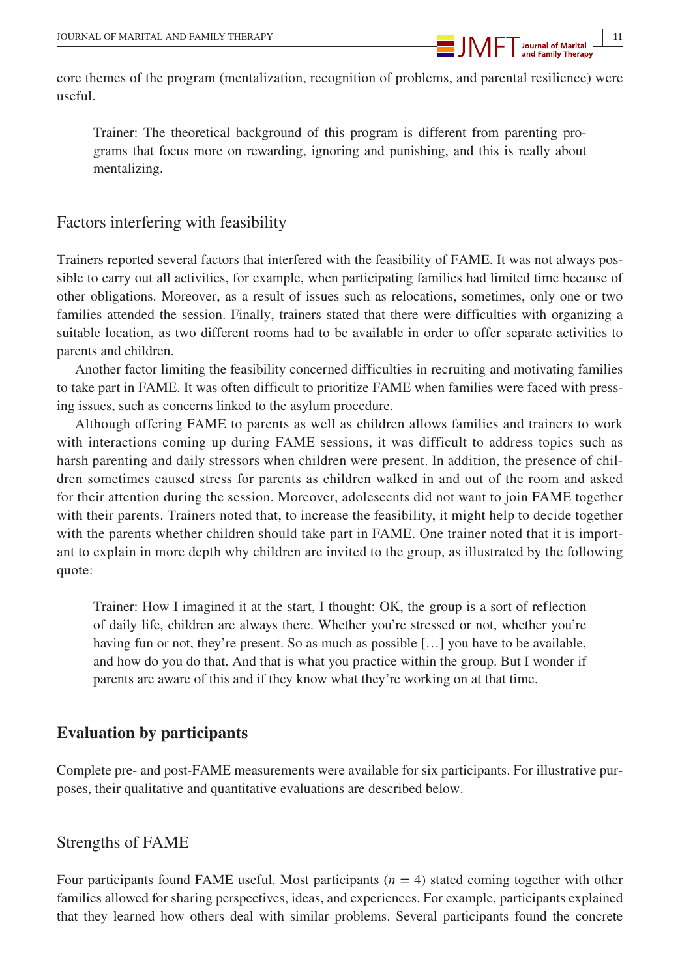

core themes of the program (mentalization, recognition of problems, and parental resilience) were useful.

Trainer: The theoretical background of this program is different from parenting programs that focus more on rewarding, ignoring and punishing, and this is really about mentalizing.

## Factors interfering with feasibility

Trainers reported several factors that interfered with the feasibility of FAME. It was not always possible to carry out all activities, for example, when participating families had limited time because of other obligations. Moreover, as a result of issues such as relocations, sometimes, only one or two families attended the session. Finally, trainers stated that there were difficulties with organizing a suitable location, as two different rooms had to be available in order to offer separate activities to parents and children.

Another factor limiting the feasibility concerned difficulties in recruiting and motivating families to take part in FAME. It was often difficult to prioritize FAME when families were faced with pressing issues, such as concerns linked to the asylum procedure.

Although offering FAME to parents as well as children allows families and trainers to work with interactions coming up during FAME sessions, it was difficult to address topics such as harsh parenting and daily stressors when children were present. In addition, the presence of children sometimes caused stress for parents as children walked in and out of the room and asked for their attention during the session. Moreover, adolescents did not want to join FAME together with their parents. Trainers noted that, to increase the feasibility, it might help to decide together with the parents whether children should take part in FAME. One trainer noted that it is important to explain in more depth why children are invited to the group, as illustrated by the following quote:

Trainer: How I imagined it at the start, I thought: OK, the group is a sort of reflection of daily life, children are always there. Whether you're stressed or not, whether you're having fun or not, they're present. So as much as possible [...] you have to be available, and how do you do that. And that is what you practice within the group. But I wonder if parents are aware of this and if they know what they're working on at that time.

## **Evaluation by participants**

Complete pre- and post-FAME measurements were available for six participants. For illustrative purposes, their qualitative and quantitative evaluations are described below.

## Strengths of FAME

Four participants found FAME useful. Most participants  $(n = 4)$  stated coming together with other families allowed for sharing perspectives, ideas, and experiences. For example, participants explained that they learned how others deal with similar problems. Several participants found the concrete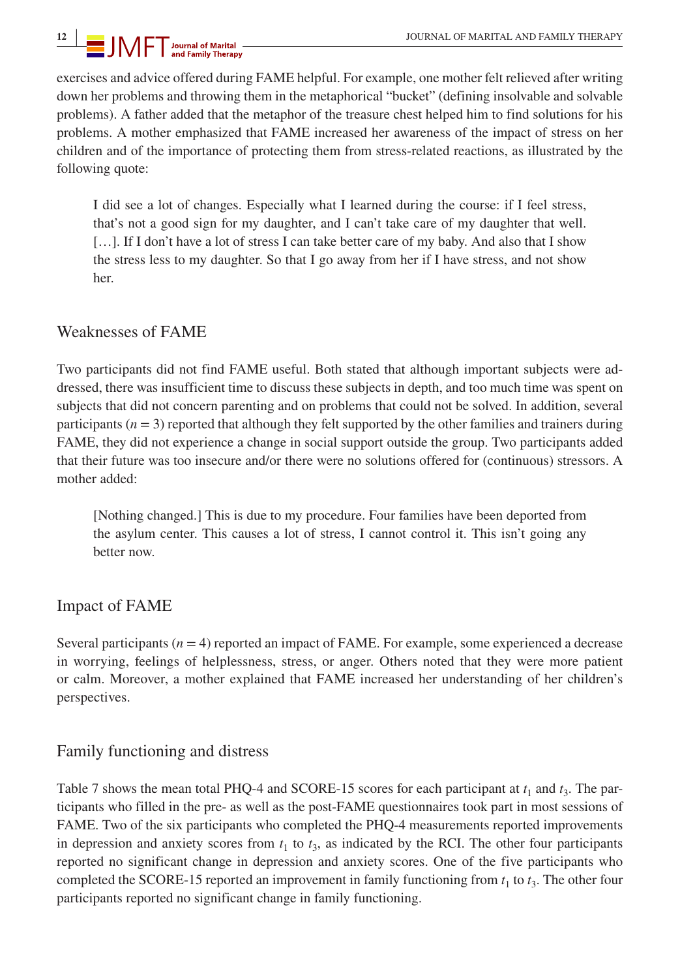exercises and advice offered during FAME helpful. For example, one mother felt relieved after writing down her problems and throwing them in the metaphorical "bucket" (defining insolvable and solvable problems). A father added that the metaphor of the treasure chest helped him to find solutions for his problems. A mother emphasized that FAME increased her awareness of the impact of stress on her children and of the importance of protecting them from stress-related reactions, as illustrated by the following quote:

I did see a lot of changes. Especially what I learned during the course: if I feel stress, that's not a good sign for my daughter, and I can't take care of my daughter that well. [...]. If I don't have a lot of stress I can take better care of my baby. And also that I show the stress less to my daughter. So that I go away from her if I have stress, and not show her.

## Weaknesses of FAME

Two participants did not find FAME useful. Both stated that although important subjects were addressed, there was insufficient time to discuss these subjects in depth, and too much time was spent on subjects that did not concern parenting and on problems that could not be solved. In addition, several participants  $(n = 3)$  reported that although they felt supported by the other families and trainers during FAME, they did not experience a change in social support outside the group. Two participants added that their future was too insecure and/or there were no solutions offered for (continuous) stressors. A mother added:

[Nothing changed.] This is due to my procedure. Four families have been deported from the asylum center. This causes a lot of stress, I cannot control it. This isn't going any better now.

## Impact of FAME

Several participants  $(n = 4)$  reported an impact of FAME. For example, some experienced a decrease in worrying, feelings of helplessness, stress, or anger. Others noted that they were more patient or calm. Moreover, a mother explained that FAME increased her understanding of her children's perspectives.

## Family functioning and distress

Table 7 shows the mean total PHQ-4 and SCORE-15 scores for each participant at  $t_1$  and  $t_3$ . The participants who filled in the pre- as well as the post-FAME questionnaires took part in most sessions of FAME. Two of the six participants who completed the PHQ-4 measurements reported improvements in depression and anxiety scores from  $t_1$  to  $t_3$ , as indicated by the RCI. The other four participants reported no significant change in depression and anxiety scores. One of the five participants who completed the SCORE-15 reported an improvement in family functioning from  $t_1$  to  $t_3$ . The other four participants reported no significant change in family functioning.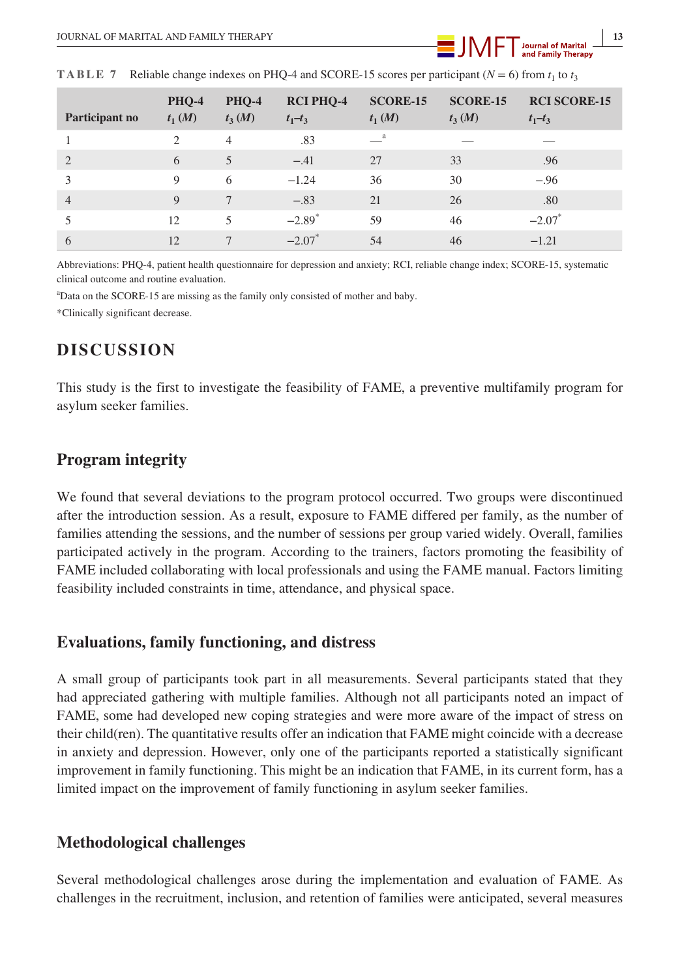| Participant no | <b>PHQ-4</b><br>$t_1(M)$                                                                                                                                                                                                                                                                                                                                                                               | <b>PHQ-4</b><br>$t_3(M)$ | <b>RCI PHQ-4</b><br>$t_1 - t_3$ | <b>SCORE-15</b><br>$t_1(M)$ | <b>SCORE-15</b><br>$t_3(M)$ | <b>RCI SCORE-15</b><br>$t_1 - t_3$ |
|----------------|--------------------------------------------------------------------------------------------------------------------------------------------------------------------------------------------------------------------------------------------------------------------------------------------------------------------------------------------------------------------------------------------------------|--------------------------|---------------------------------|-----------------------------|-----------------------------|------------------------------------|
|                | $\mathfrak{D}_{1}^{(1)}=\mathfrak{D}_{2}^{(2)}=\mathfrak{D}_{2}^{(1)}=\mathfrak{D}_{2}^{(1)}=\mathfrak{D}_{2}^{(1)}=\mathfrak{D}_{2}^{(1)}=\mathfrak{D}_{2}^{(1)}=\mathfrak{D}_{2}^{(1)}=\mathfrak{D}_{2}^{(1)}=\mathfrak{D}_{2}^{(1)}=\mathfrak{D}_{2}^{(1)}=\mathfrak{D}_{2}^{(1)}=\mathfrak{D}_{2}^{(1)}=\mathfrak{D}_{2}^{(1)}=\mathfrak{D}_{2}^{(1)}=\mathfrak{D}_{2}^{(1)}=\mathfrak{D}_{2}^{(1$ | $\overline{4}$           | .83                             | $\equiv$ <sup>a</sup>       |                             |                                    |
| $\overline{2}$ | 6                                                                                                                                                                                                                                                                                                                                                                                                      | 5                        | $-.41$                          | 27                          | 33                          | .96                                |
| 3              | $\mathbf Q$                                                                                                                                                                                                                                                                                                                                                                                            | 6                        | $-1.24$                         | 36                          | 30                          | $-.96$                             |
| $\overline{4}$ | $\mathbf Q$                                                                                                                                                                                                                                                                                                                                                                                            | 7                        | $-.83$                          | 21                          | 26                          | .80                                |
| 5              | 12                                                                                                                                                                                                                                                                                                                                                                                                     | 5                        | $-2.89$ <sup>*</sup>            | 59                          | 46                          | $-2.07$ <sup>*</sup>               |
| 6              | 12                                                                                                                                                                                                                                                                                                                                                                                                     | 7                        | $-2.07$ <sup>*</sup>            | 54                          | 46                          | $-1.21$                            |

**TABLE 7** Reliable change indexes on PHQ-4 and SCORE-15 scores per participant ( $N = 6$ ) from  $t_1$  to  $t_3$ 

Abbreviations: PHQ-4, patient health questionnaire for depression and anxiety; RCI, reliable change index; SCORE-15, systematic clinical outcome and routine evaluation.

a Data on the SCORE-15 are missing as the family only consisted of mother and baby.

\*Clinically significant decrease.

## **DISCUSSION**

This study is the first to investigate the feasibility of FAME, a preventive multifamily program for asylum seeker families.

## **Program integrity**

We found that several deviations to the program protocol occurred. Two groups were discontinued after the introduction session. As a result, exposure to FAME differed per family, as the number of families attending the sessions, and the number of sessions per group varied widely. Overall, families participated actively in the program. According to the trainers, factors promoting the feasibility of FAME included collaborating with local professionals and using the FAME manual. Factors limiting feasibility included constraints in time, attendance, and physical space.

## **Evaluations, family functioning, and distress**

A small group of participants took part in all measurements. Several participants stated that they had appreciated gathering with multiple families. Although not all participants noted an impact of FAME, some had developed new coping strategies and were more aware of the impact of stress on their child(ren). The quantitative results offer an indication that FAME might coincide with a decrease in anxiety and depression. However, only one of the participants reported a statistically significant improvement in family functioning. This might be an indication that FAME, in its current form, has a limited impact on the improvement of family functioning in asylum seeker families.

## **Methodological challenges**

Several methodological challenges arose during the implementation and evaluation of FAME. As challenges in the recruitment, inclusion, and retention of families were anticipated, several measures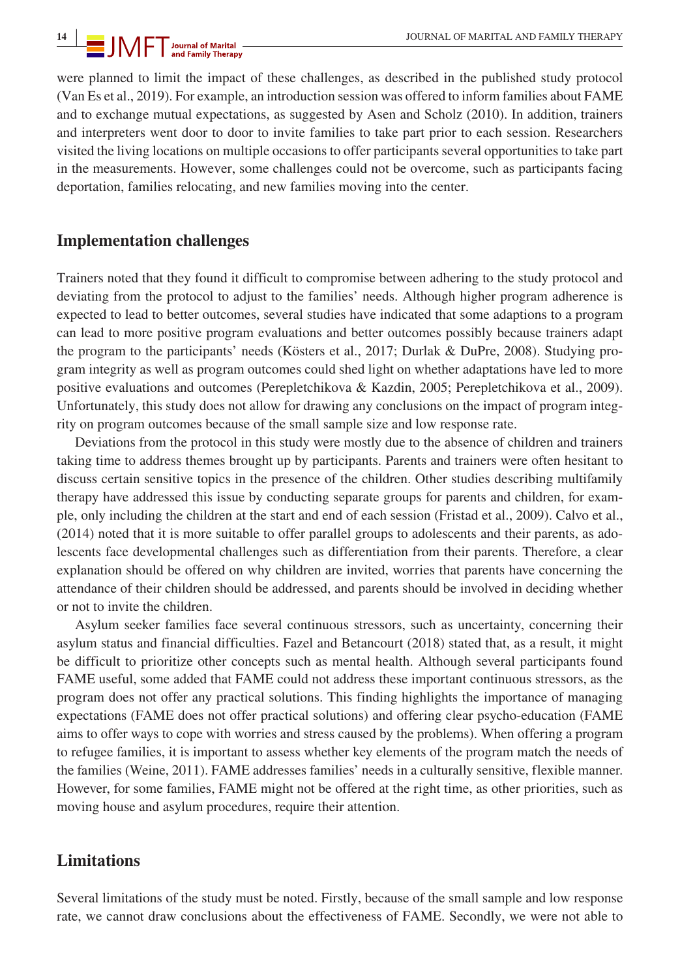were planned to limit the impact of these challenges, as described in the published study protocol (Van Es et al., 2019). For example, an introduction session was offered to inform families about FAME and to exchange mutual expectations, as suggested by Asen and Scholz (2010). In addition, trainers and interpreters went door to door to invite families to take part prior to each session. Researchers visited the living locations on multiple occasions to offer participants several opportunities to take part in the measurements. However, some challenges could not be overcome, such as participants facing deportation, families relocating, and new families moving into the center.

## **Implementation challenges**

Trainers noted that they found it difficult to compromise between adhering to the study protocol and deviating from the protocol to adjust to the families' needs. Although higher program adherence is expected to lead to better outcomes, several studies have indicated that some adaptions to a program can lead to more positive program evaluations and better outcomes possibly because trainers adapt the program to the participants' needs (Kösters et al., 2017; Durlak & DuPre, 2008). Studying program integrity as well as program outcomes could shed light on whether adaptations have led to more positive evaluations and outcomes (Perepletchikova & Kazdin, 2005; Perepletchikova et al., 2009). Unfortunately, this study does not allow for drawing any conclusions on the impact of program integrity on program outcomes because of the small sample size and low response rate.

Deviations from the protocol in this study were mostly due to the absence of children and trainers taking time to address themes brought up by participants. Parents and trainers were often hesitant to discuss certain sensitive topics in the presence of the children. Other studies describing multifamily therapy have addressed this issue by conducting separate groups for parents and children, for example, only including the children at the start and end of each session (Fristad et al., 2009). Calvo et al., (2014) noted that it is more suitable to offer parallel groups to adolescents and their parents, as adolescents face developmental challenges such as differentiation from their parents. Therefore, a clear explanation should be offered on why children are invited, worries that parents have concerning the attendance of their children should be addressed, and parents should be involved in deciding whether or not to invite the children.

Asylum seeker families face several continuous stressors, such as uncertainty, concerning their asylum status and financial difficulties. Fazel and Betancourt (2018) stated that, as a result, it might be difficult to prioritize other concepts such as mental health. Although several participants found FAME useful, some added that FAME could not address these important continuous stressors, as the program does not offer any practical solutions. This finding highlights the importance of managing expectations (FAME does not offer practical solutions) and offering clear psycho-education (FAME aims to offer ways to cope with worries and stress caused by the problems). When offering a program to refugee families, it is important to assess whether key elements of the program match the needs of the families (Weine, 2011). FAME addresses families' needs in a culturally sensitive, flexible manner. However, for some families, FAME might not be offered at the right time, as other priorities, such as moving house and asylum procedures, require their attention.

## **Limitations**

Several limitations of the study must be noted. Firstly, because of the small sample and low response rate, we cannot draw conclusions about the effectiveness of FAME. Secondly, we were not able to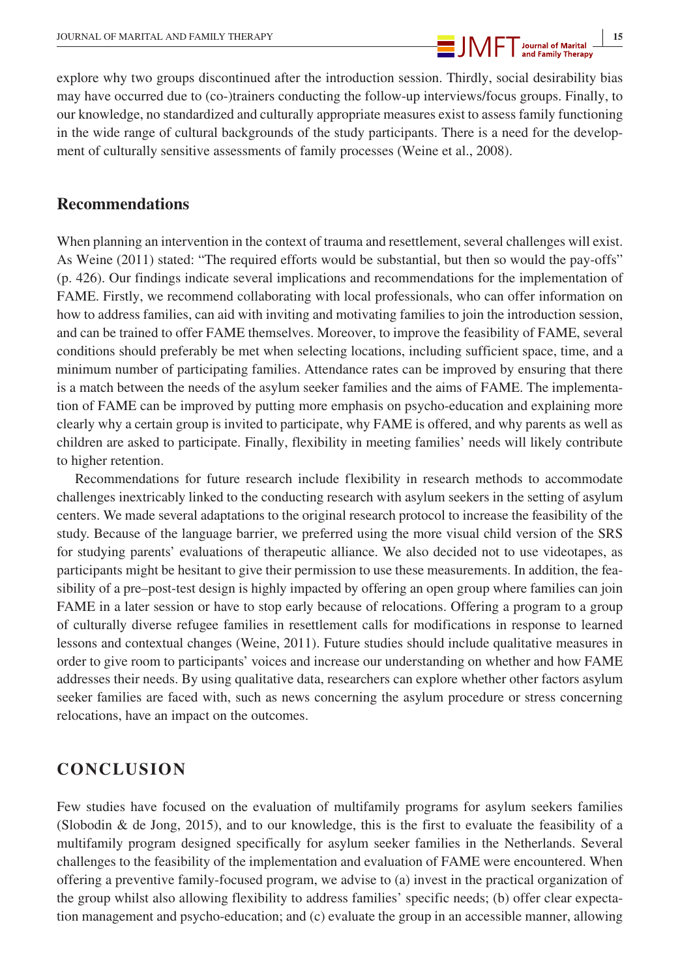

explore why two groups discontinued after the introduction session. Thirdly, social desirability bias may have occurred due to (co-)trainers conducting the follow-up interviews/focus groups. Finally, to our knowledge, no standardized and culturally appropriate measures exist to assess family functioning in the wide range of cultural backgrounds of the study participants. There is a need for the development of culturally sensitive assessments of family processes (Weine et al., 2008).

## **Recommendations**

When planning an intervention in the context of trauma and resettlement, several challenges will exist. As Weine (2011) stated: "The required efforts would be substantial, but then so would the pay-offs" (p. 426). Our findings indicate several implications and recommendations for the implementation of FAME. Firstly, we recommend collaborating with local professionals, who can offer information on how to address families, can aid with inviting and motivating families to join the introduction session, and can be trained to offer FAME themselves. Moreover, to improve the feasibility of FAME, several conditions should preferably be met when selecting locations, including sufficient space, time, and a minimum number of participating families. Attendance rates can be improved by ensuring that there is a match between the needs of the asylum seeker families and the aims of FAME. The implementation of FAME can be improved by putting more emphasis on psycho-education and explaining more clearly why a certain group is invited to participate, why FAME is offered, and why parents as well as children are asked to participate. Finally, flexibility in meeting families' needs will likely contribute to higher retention.

Recommendations for future research include flexibility in research methods to accommodate challenges inextricably linked to the conducting research with asylum seekers in the setting of asylum centers. We made several adaptations to the original research protocol to increase the feasibility of the study. Because of the language barrier, we preferred using the more visual child version of the SRS for studying parents' evaluations of therapeutic alliance. We also decided not to use videotapes, as participants might be hesitant to give their permission to use these measurements. In addition, the feasibility of a pre–post-test design is highly impacted by offering an open group where families can join FAME in a later session or have to stop early because of relocations. Offering a program to a group of culturally diverse refugee families in resettlement calls for modifications in response to learned lessons and contextual changes (Weine, 2011). Future studies should include qualitative measures in order to give room to participants' voices and increase our understanding on whether and how FAME addresses their needs. By using qualitative data, researchers can explore whether other factors asylum seeker families are faced with, such as news concerning the asylum procedure or stress concerning relocations, have an impact on the outcomes.

## **CONCLUSION**

Few studies have focused on the evaluation of multifamily programs for asylum seekers families (Slobodin & de Jong, 2015), and to our knowledge, this is the first to evaluate the feasibility of a multifamily program designed specifically for asylum seeker families in the Netherlands. Several challenges to the feasibility of the implementation and evaluation of FAME were encountered. When offering a preventive family-focused program, we advise to (a) invest in the practical organization of the group whilst also allowing flexibility to address families' specific needs; (b) offer clear expectation management and psycho-education; and (c) evaluate the group in an accessible manner, allowing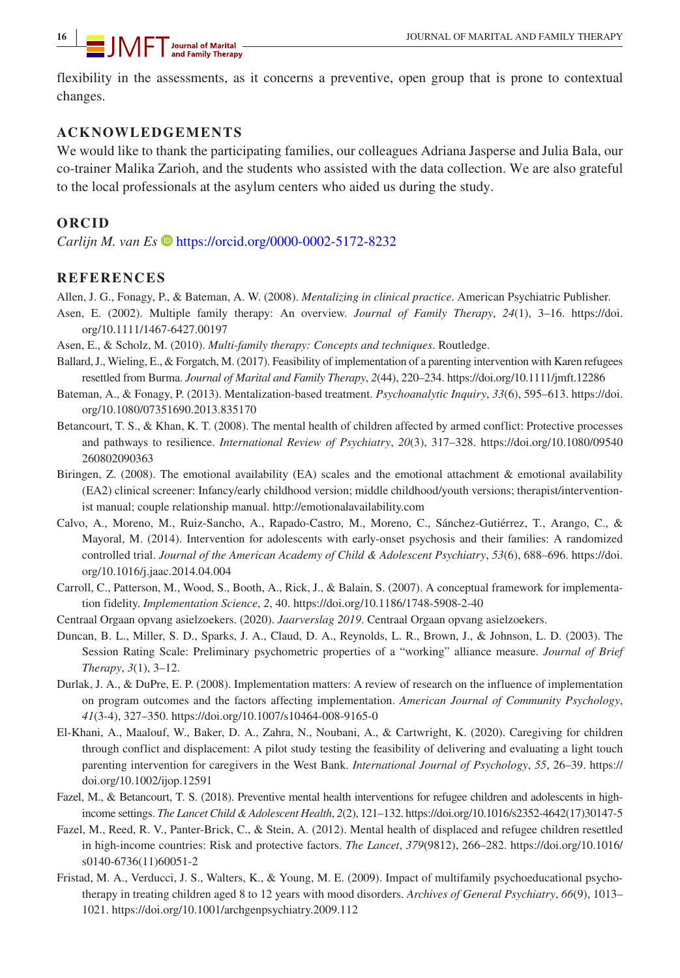flexibility in the assessments, as it concerns a preventive, open group that is prone to contextual changes.

## **ACKNOWLEDGEMENTS**

We would like to thank the participating families, our colleagues Adriana Jasperse and Julia Bala, our co-trainer Malika Zarioh, and the students who assisted with the data collection. We are also grateful to the local professionals at the asylum centers who aided us during the study.

## **ORCID**

*Carlijn M. van Es*  $\bullet$  <https://orcid.org/0000-0002-5172-8232>

## **REFERENCES**

Allen, J. G., Fonagy, P., & Bateman, A. W. (2008). *Mentalizing in clinical practice*. American Psychiatric Publisher.

- Asen, E. (2002). Multiple family therapy: An overview. *Journal of Family Therapy*, *24*(1), 3–16. [https://doi.](https://doi.org/10.1111/1467-6427.00197) [org/10.1111/1467-6427.00197](https://doi.org/10.1111/1467-6427.00197)
- Asen, E., & Scholz, M. (2010). *Multi-family therapy: Concepts and techniques*. Routledge.
- Ballard, J., Wieling, E., & Forgatch, M. (2017). Feasibility of implementation of a parenting intervention with Karen refugees resettled from Burma. *Journal of Marital and Family Therapy*, *2*(44), 220–234.<https://doi.org/10.1111/jmft.12286>
- Bateman, A., & Fonagy, P. (2013). Mentalization-based treatment. *Psychoanalytic Inquiry*, *33*(6), 595–613. [https://doi.](https://doi.org/10.1080/07351690.2013.835170) [org/10.1080/07351690.2013.835170](https://doi.org/10.1080/07351690.2013.835170)
- Betancourt, T. S., & Khan, K. T. (2008). The mental health of children affected by armed conflict: Protective processes and pathways to resilience. *International Review of Psychiatry*, *20*(3), 317–328. [https://doi.org/10.1080/09540](https://doi.org/10.1080/09540260802090363) [260802090363](https://doi.org/10.1080/09540260802090363)
- Biringen, Z. (2008). The emotional availability (EA) scales and the emotional attachment & emotional availability (EA2) clinical screener: Infancy/early childhood version; middle childhood/youth versions; therapist/interventionist manual; couple relationship manual.<http://emotionalavailability.com>
- Calvo, A., Moreno, M., Ruiz-Sancho, A., Rapado-Castro, M., Moreno, C., Sánchez-Gutiérrez, T., Arango, C., & Mayoral, M. (2014). Intervention for adolescents with early-onset psychosis and their families: A randomized controlled trial. *Journal of the American Academy of Child & Adolescent Psychiatry*, *53*(6), 688–696. [https://doi.](https://doi.org/10.1016/j.jaac.2014.04.004) [org/10.1016/j.jaac.2014.04.004](https://doi.org/10.1016/j.jaac.2014.04.004)
- Carroll, C., Patterson, M., Wood, S., Booth, A., Rick, J., & Balain, S. (2007). A conceptual framework for implementation fidelity. *Implementation Science*, *2*, 40.<https://doi.org/10.1186/1748-5908-2-40>
- Centraal Orgaan opvang asielzoekers. (2020). *Jaarverslag 2019*. Centraal Orgaan opvang asielzoekers.
- Duncan, B. L., Miller, S. D., Sparks, J. A., Claud, D. A., Reynolds, L. R., Brown, J., & Johnson, L. D. (2003). The Session Rating Scale: Preliminary psychometric properties of a "working" alliance measure. *Journal of Brief Therapy*, *3*(1), 3–12.
- Durlak, J. A., & DuPre, E. P. (2008). Implementation matters: A review of research on the influence of implementation on program outcomes and the factors affecting implementation. *American Journal of Community Psychology*, *41*(3-4), 327–350.<https://doi.org/10.1007/s10464-008-9165-0>
- El-Khani, A., Maalouf, W., Baker, D. A., Zahra, N., Noubani, A., & Cartwright, K. (2020). Caregiving for children through conflict and displacement: A pilot study testing the feasibility of delivering and evaluating a light touch parenting intervention for caregivers in the West Bank. *International Journal of Psychology*, *55*, 26–39. [https://](https://doi.org/10.1002/ijop.12591) [doi.org/10.1002/ijop.12591](https://doi.org/10.1002/ijop.12591)
- Fazel, M., & Betancourt, T. S. (2018). Preventive mental health interventions for refugee children and adolescents in highincome settings. *The Lancet Child & Adolescent Health*, *2*(2), 121–132. [https://doi.org/10.1016/s2352-4642\(17\)30147-5](https://doi.org/10.1016/s2352-4642(17)30147-5)
- Fazel, M., Reed, R. V., Panter-Brick, C., & Stein, A. (2012). Mental health of displaced and refugee children resettled in high-income countries: Risk and protective factors. *The Lancet*, *379*(9812), 266–282. [https://doi.org/10.1016/](https://doi.org/10.1016/s0140-6736(11)60051-2) [s0140-6736\(11\)60051-2](https://doi.org/10.1016/s0140-6736(11)60051-2)
- Fristad, M. A., Verducci, J. S., Walters, K., & Young, M. E. (2009). Impact of multifamily psychoeducational psychotherapy in treating children aged 8 to 12 years with mood disorders. *Archives of General Psychiatry*, *66*(9), 1013– 1021. <https://doi.org/10.1001/archgenpsychiatry.2009.112>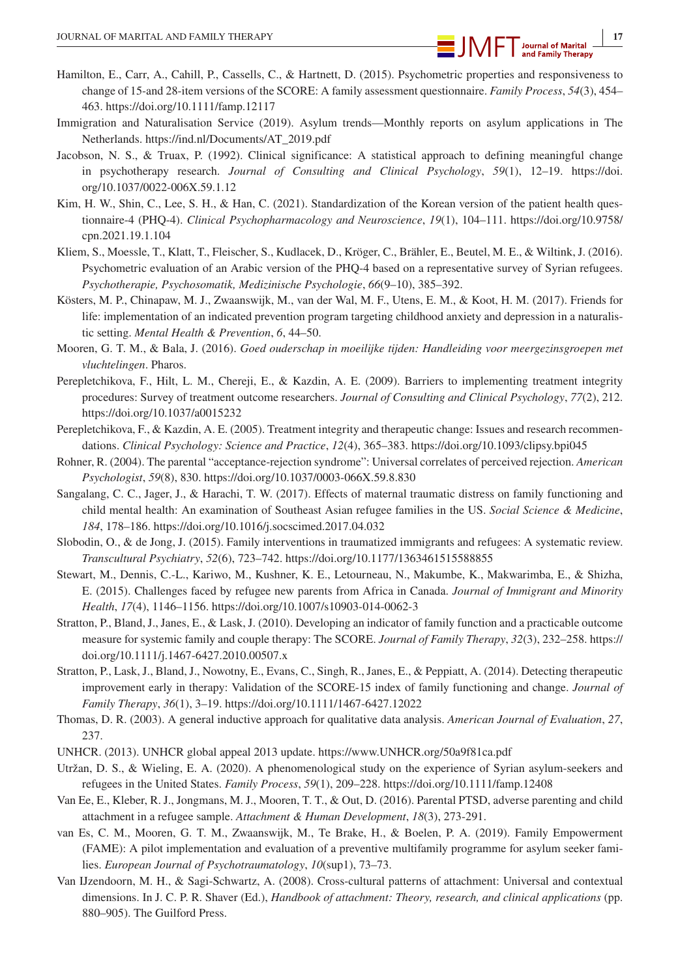- Hamilton, E., Carr, A., Cahill, P., Cassells, C., & Hartnett, D. (2015). Psychometric properties and responsiveness to change of 15-and 28-item versions of the SCORE: A family assessment questionnaire. *Family Process*, *54*(3), 454– 463. <https://doi.org/10.1111/famp.12117>
- Immigration and Naturalisation Service (2019). Asylum trends—Monthly reports on asylum applications in The Netherlands. [https://ind.nl/Documents/AT\\_2019.pdf](https://ind.nl/Documents/AT_2019.pdf)
- Jacobson, N. S., & Truax, P. (1992). Clinical significance: A statistical approach to defining meaningful change in psychotherapy research. *Journal of Consulting and Clinical Psychology*, *59*(1), 12–19. [https://doi.](https://doi.org/10.1037/0022-006X.59.1.12) [org/10.1037/0022-006X.59.1.12](https://doi.org/10.1037/0022-006X.59.1.12)
- Kim, H. W., Shin, C., Lee, S. H., & Han, C. (2021). Standardization of the Korean version of the patient health questionnaire-4 (PHQ-4). *Clinical Psychopharmacology and Neuroscience*, *19*(1), 104–111. [https://doi.org/10.9758/](https://doi.org/10.9758/cpn.2021.19.1.104) [cpn.2021.19.1.104](https://doi.org/10.9758/cpn.2021.19.1.104)
- Kliem, S., Moessle, T., Klatt, T., Fleischer, S., Kudlacek, D., Kröger, C., Brähler, E., Beutel, M. E., & Wiltink, J. (2016). Psychometric evaluation of an Arabic version of the PHQ-4 based on a representative survey of Syrian refugees. *Psychotherapie, Psychosomatik, Medizinische Psychologie*, *66*(9–10), 385–392.
- Kösters, M. P., Chinapaw, M. J., Zwaanswijk, M., van der Wal, M. F., Utens, E. M., & Koot, H. M. (2017). Friends for life: implementation of an indicated prevention program targeting childhood anxiety and depression in a naturalistic setting. *Mental Health & Prevention*, *6*, 44–50.
- Mooren, G. T. M., & Bala, J. (2016). *Goed ouderschap in moeilijke tijden: Handleiding voor meergezinsgroepen met vluchtelingen*. Pharos.
- Perepletchikova, F., Hilt, L. M., Chereji, E., & Kazdin, A. E. (2009). Barriers to implementing treatment integrity procedures: Survey of treatment outcome researchers. *Journal of Consulting and Clinical Psychology*, *77*(2), 212. <https://doi.org/10.1037/a0015232>
- Perepletchikova, F., & Kazdin, A. E. (2005). Treatment integrity and therapeutic change: Issues and research recommendations. *Clinical Psychology: Science and Practice*, *12*(4), 365–383.<https://doi.org/10.1093/clipsy.bpi045>
- Rohner, R. (2004). The parental "acceptance-rejection syndrome": Universal correlates of perceived rejection. *American Psychologist*, *59*(8), 830. <https://doi.org/10.1037/0003-066X.59.8.830>
- Sangalang, C. C., Jager, J., & Harachi, T. W. (2017). Effects of maternal traumatic distress on family functioning and child mental health: An examination of Southeast Asian refugee families in the US. *Social Science & Medicine*, *184*, 178–186. <https://doi.org/10.1016/j.socscimed.2017.04.032>
- Slobodin, O., & de Jong, J. (2015). Family interventions in traumatized immigrants and refugees: A systematic review. *Transcultural Psychiatry*, *52*(6), 723–742. <https://doi.org/10.1177/1363461515588855>
- Stewart, M., Dennis, C.-L., Kariwo, M., Kushner, K. E., Letourneau, N., Makumbe, K., Makwarimba, E., & Shizha, E. (2015). Challenges faced by refugee new parents from Africa in Canada. *Journal of Immigrant and Minority Health*, *17*(4), 1146–1156.<https://doi.org/10.1007/s10903-014-0062-3>
- Stratton, P., Bland, J., Janes, E., & Lask, J. (2010). Developing an indicator of family function and a practicable outcome measure for systemic family and couple therapy: The SCORE. *Journal of Family Therapy*, *32*(3), 232–258. [https://](https://doi.org/10.1111/j.1467-6427.2010.00507.x) [doi.org/10.1111/j.1467-6427.2010.00507.x](https://doi.org/10.1111/j.1467-6427.2010.00507.x)
- Stratton, P., Lask, J., Bland, J., Nowotny, E., Evans, C., Singh, R., Janes, E., & Peppiatt, A. (2014). Detecting therapeutic improvement early in therapy: Validation of the SCORE-15 index of family functioning and change. *Journal of Family Therapy*, *36*(1), 3–19.<https://doi.org/10.1111/1467-6427.12022>
- Thomas, D. R. (2003). A general inductive approach for qualitative data analysis. *American Journal of Evaluation*, *27*, 237.
- UNHCR. (2013). UNHCR global appeal 2013 update.<https://www.UNHCR.org/50a9f81ca.pdf>
- Utržan, D. S., & Wieling, E. A. (2020). A phenomenological study on the experience of Syrian asylum-seekers and refugees in the United States. *Family Process*, *59*(1), 209–228.<https://doi.org/10.1111/famp.12408>
- Van Ee, E., Kleber, R. J., Jongmans, M. J., Mooren, T. T., & Out, D. (2016). Parental PTSD, adverse parenting and child attachment in a refugee sample. *Attachment & Human Development*, *18*(3), 273-291.
- van Es, C. M., Mooren, G. T. M., Zwaanswijk, M., Te Brake, H., & Boelen, P. A. (2019). Family Empowerment (FAME): A pilot implementation and evaluation of a preventive multifamily programme for asylum seeker families. *European Journal of Psychotraumatology*, *10*(sup1), 73–73.
- Van IJzendoorn, M. H., & Sagi-Schwartz, A. (2008). Cross-cultural patterns of attachment: Universal and contextual dimensions. In J. C. P. R. Shaver (Ed.), *Handbook of attachment: Theory, research, and clinical applications* (pp. 880–905). The Guilford Press.